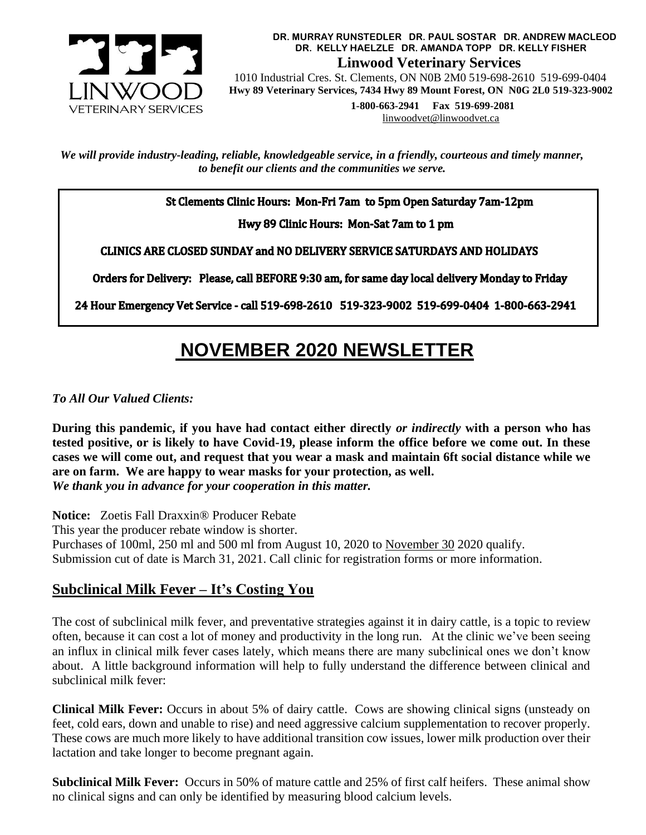

**DR. MURRAY RUNSTEDLER DR. PAUL SOSTAR DR. ANDREW MACLEOD DR. KELLY HAELZLE DR. AMANDA TOPP DR. KELLY FISHER Linwood Veterinary Services**

 1010 Industrial Cres. St. Clements, ON N0B 2M0 519-698-2610 519-699-0404  **Hwy 89 Veterinary Services, 7434 Hwy 89 Mount Forest, ON N0G 2L0 519-323-9002**

> **1-800-663-2941 Fax 519-699-2081** [linwoodvet@linwoodvet.ca](mailto:linwoodvet@linwoodvet.ca)

*We will provide industry-leading, reliable, knowledgeable service, in a friendly, courteous and timely manner, to benefit our clients and the communities we serve.*

St Clements Clinic Hours: Mon-Fri 7am to 5pm Open Saturday 7am-12pm

Hwy 89 Clinic Hours: Mon-Sat 7am to 1 pm

**CLINICS ARE CLOSED SUNDAY and NO DELIVERY SERVICE SATURDAYS AND HOLIDAYS** 

Orders for Delivery: Please, call BEFORE 9:30 am, for same day local delivery Monday to Friday

24 Hour Emergency Vet Service - call 519-698-2610 519-323-9002 519-699-0404 1-800-663-2941

# **NOVEMBER 2020 NEWSLETTER**

*To All Our Valued Clients:*

**During this pandemic, if you have had contact either directly** *or indirectly* **with a person who has tested positive, or is likely to have Covid-19, please inform the office before we come out. In these cases we will come out, and request that you wear a mask and maintain 6ft social distance while we are on farm. We are happy to wear masks for your protection, as well.**  *We thank you in advance for your cooperation in this matter.*

**Notice:** Zoetis Fall Draxxin® Producer Rebate This year the producer rebate window is shorter. Purchases of 100ml, 250 ml and 500 ml from August 10, 2020 to November 30 2020 qualify. Submission cut of date is March 31, 2021. Call clinic for registration forms or more information.

# **Subclinical Milk Fever – It's Costing You**

The cost of subclinical milk fever, and preventative strategies against it in dairy cattle, is a topic to review often, because it can cost a lot of money and productivity in the long run. At the clinic we've been seeing an influx in clinical milk fever cases lately, which means there are many subclinical ones we don't know about. A little background information will help to fully understand the difference between clinical and subclinical milk fever:

**Clinical Milk Fever:** Occurs in about 5% of dairy cattle. Cows are showing clinical signs (unsteady on feet, cold ears, down and unable to rise) and need aggressive calcium supplementation to recover properly. These cows are much more likely to have additional transition cow issues, lower milk production over their lactation and take longer to become pregnant again.

**Subclinical Milk Fever:** Occurs in 50% of mature cattle and 25% of first calf heifers. These animal show no clinical signs and can only be identified by measuring blood calcium levels.